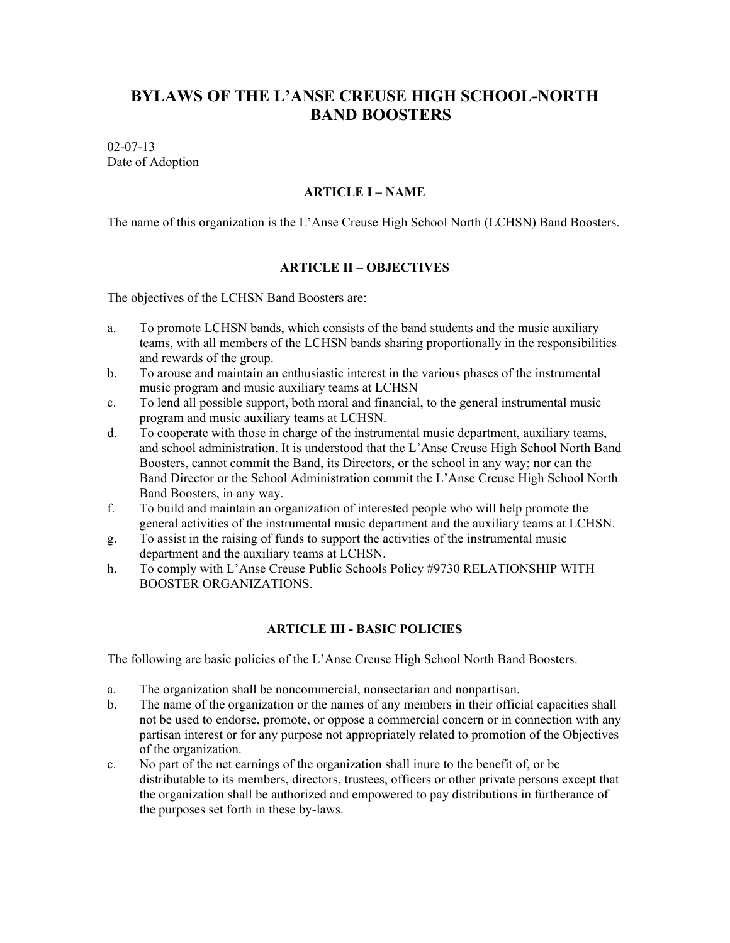# **BYLAWS OF THE L'ANSE CREUSE HIGH SCHOOL-NORTH BAND BOOSTERS**

### 02-07-13 Date of Adoption

### **ARTICLE I – NAME**

The name of this organization is the L'Anse Creuse High School North (LCHSN) Band Boosters.

### **ARTICLE II – OBJECTIVES**

The objectives of the LCHSN Band Boosters are:

- a. To promote LCHSN bands, which consists of the band students and the music auxiliary teams, with all members of the LCHSN bands sharing proportionally in the responsibilities and rewards of the group.
- b. To arouse and maintain an enthusiastic interest in the various phases of the instrumental music program and music auxiliary teams at LCHSN
- c. To lend all possible support, both moral and financial, to the general instrumental music program and music auxiliary teams at LCHSN.
- d. To cooperate with those in charge of the instrumental music department, auxiliary teams, and school administration. It is understood that the L'Anse Creuse High School North Band Boosters, cannot commit the Band, its Directors, or the school in any way; nor can the Band Director or the School Administration commit the L'Anse Creuse High School North Band Boosters, in any way.
- f. To build and maintain an organization of interested people who will help promote the general activities of the instrumental music department and the auxiliary teams at LCHSN.
- g. To assist in the raising of funds to support the activities of the instrumental music department and the auxiliary teams at LCHSN.
- h. To comply with L'Anse Creuse Public Schools Policy #9730 RELATIONSHIP WITH BOOSTER ORGANIZATIONS.

# **ARTICLE III - BASIC POLICIES**

The following are basic policies of the L'Anse Creuse High School North Band Boosters.

- a. The organization shall be noncommercial, nonsectarian and nonpartisan.
- b. The name of the organization or the names of any members in their official capacities shall not be used to endorse, promote, or oppose a commercial concern or in connection with any partisan interest or for any purpose not appropriately related to promotion of the Objectives of the organization.
- c. No part of the net earnings of the organization shall inure to the benefit of, or be distributable to its members, directors, trustees, officers or other private persons except that the organization shall be authorized and empowered to pay distributions in furtherance of the purposes set forth in these by-laws.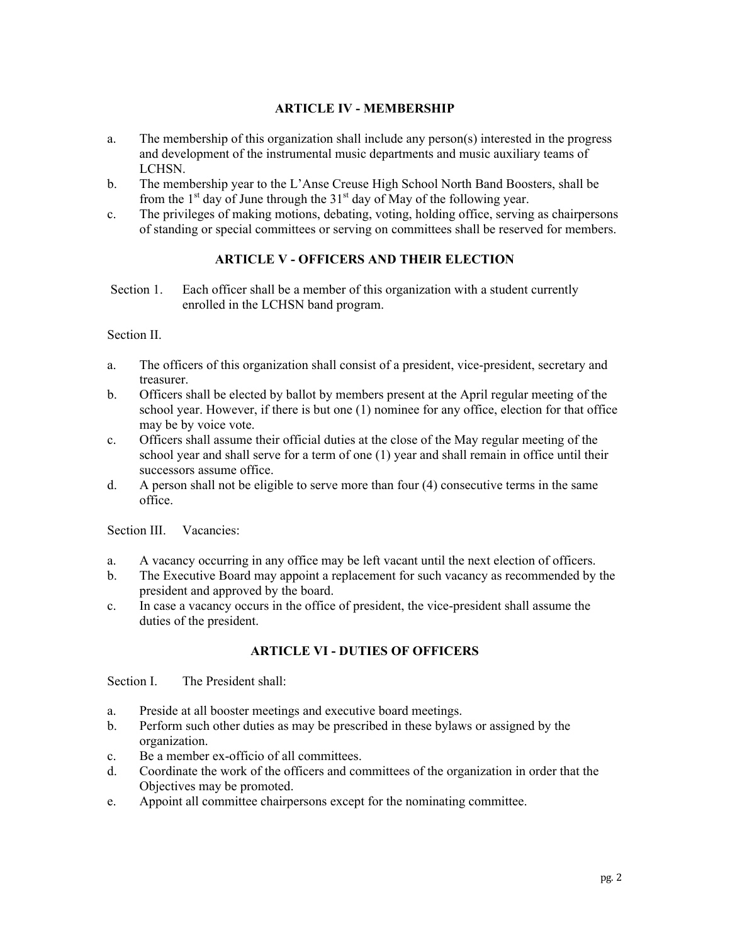# **ARTICLE IV - MEMBERSHIP**

- a. The membership of this organization shall include any person(s) interested in the progress and development of the instrumental music departments and music auxiliary teams of LCHSN.
- b. The membership year to the L'Anse Creuse High School North Band Boosters, shall be from the  $1<sup>st</sup>$  day of June through the  $31<sup>st</sup>$  day of May of the following year.
- c. The privileges of making motions, debating, voting, holding office, serving as chairpersons of standing or special committees or serving on committees shall be reserved for members.

# **ARTICLE V - OFFICERS AND THEIR ELECTION**

 Section 1. Each officer shall be a member of this organization with a student currently enrolled in the LCHSN band program.

Section II.

- a. The officers of this organization shall consist of a president, vice-president, secretary and treasurer.
- b. Officers shall be elected by ballot by members present at the April regular meeting of the school year. However, if there is but one (1) nominee for any office, election for that office may be by voice vote.
- c. Officers shall assume their official duties at the close of the May regular meeting of the school year and shall serve for a term of one (1) year and shall remain in office until their successors assume office.
- d. A person shall not be eligible to serve more than four (4) consecutive terms in the same office.

Section III. Vacancies:

- a. A vacancy occurring in any office may be left vacant until the next election of officers.
- b. The Executive Board may appoint a replacement for such vacancy as recommended by the president and approved by the board.
- c. In case a vacancy occurs in the office of president, the vice-president shall assume the duties of the president.

# **ARTICLE VI - DUTIES OF OFFICERS**

Section I. The President shall:

- a. Preside at all booster meetings and executive board meetings.
- b. Perform such other duties as may be prescribed in these bylaws or assigned by the organization.
- c. Be a member ex-officio of all committees.
- d. Coordinate the work of the officers and committees of the organization in order that the Objectives may be promoted.
- e. Appoint all committee chairpersons except for the nominating committee.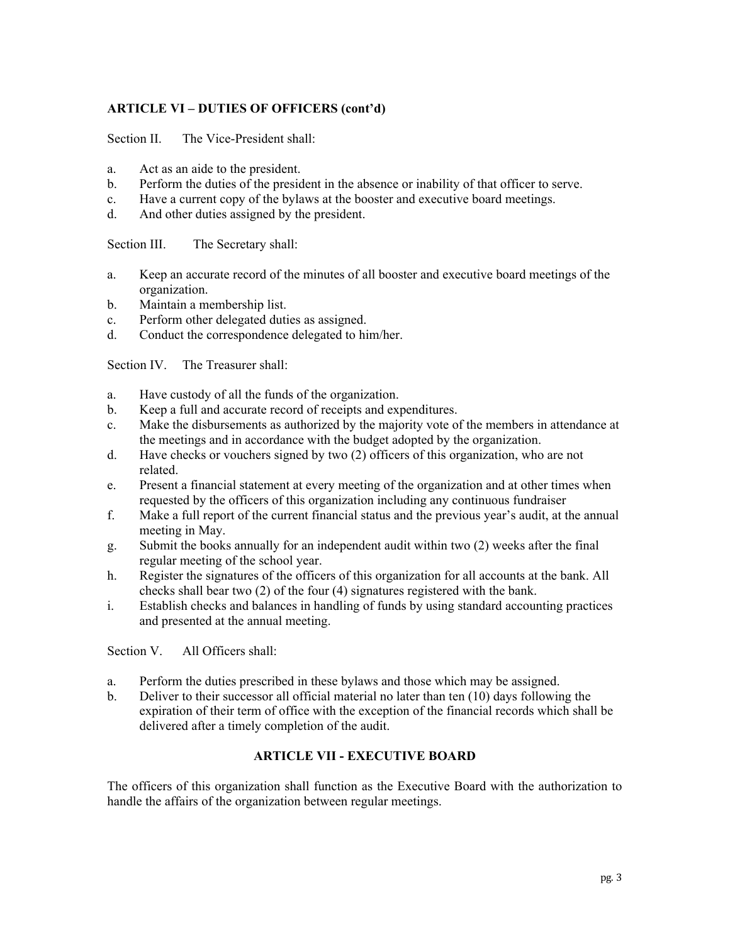# **ARTICLE VI – DUTIES OF OFFICERS (cont'd)**

Section II. The Vice-President shall:

- a. Act as an aide to the president.
- b. Perform the duties of the president in the absence or inability of that officer to serve.
- c. Have a current copy of the bylaws at the booster and executive board meetings.
- d. And other duties assigned by the president.

Section III. The Secretary shall:

- a. Keep an accurate record of the minutes of all booster and executive board meetings of the organization.
- b. Maintain a membership list.
- c. Perform other delegated duties as assigned.
- d. Conduct the correspondence delegated to him/her.

Section IV. The Treasurer shall:

- a. Have custody of all the funds of the organization.
- b. Keep a full and accurate record of receipts and expenditures.
- c. Make the disbursements as authorized by the majority vote of the members in attendance at the meetings and in accordance with the budget adopted by the organization.
- d. Have checks or vouchers signed by two (2) officers of this organization, who are not related.
- e. Present a financial statement at every meeting of the organization and at other times when requested by the officers of this organization including any continuous fundraiser
- f. Make a full report of the current financial status and the previous year's audit, at the annual meeting in May.
- g. Submit the books annually for an independent audit within two (2) weeks after the final regular meeting of the school year.
- h. Register the signatures of the officers of this organization for all accounts at the bank. All checks shall bear two (2) of the four (4) signatures registered with the bank.
- i. Establish checks and balances in handling of funds by using standard accounting practices and presented at the annual meeting.

Section V. All Officers shall:

- a. Perform the duties prescribed in these bylaws and those which may be assigned.
- b. Deliver to their successor all official material no later than ten (10) days following the expiration of their term of office with the exception of the financial records which shall be delivered after a timely completion of the audit.

# **ARTICLE VII - EXECUTIVE BOARD**

The officers of this organization shall function as the Executive Board with the authorization to handle the affairs of the organization between regular meetings.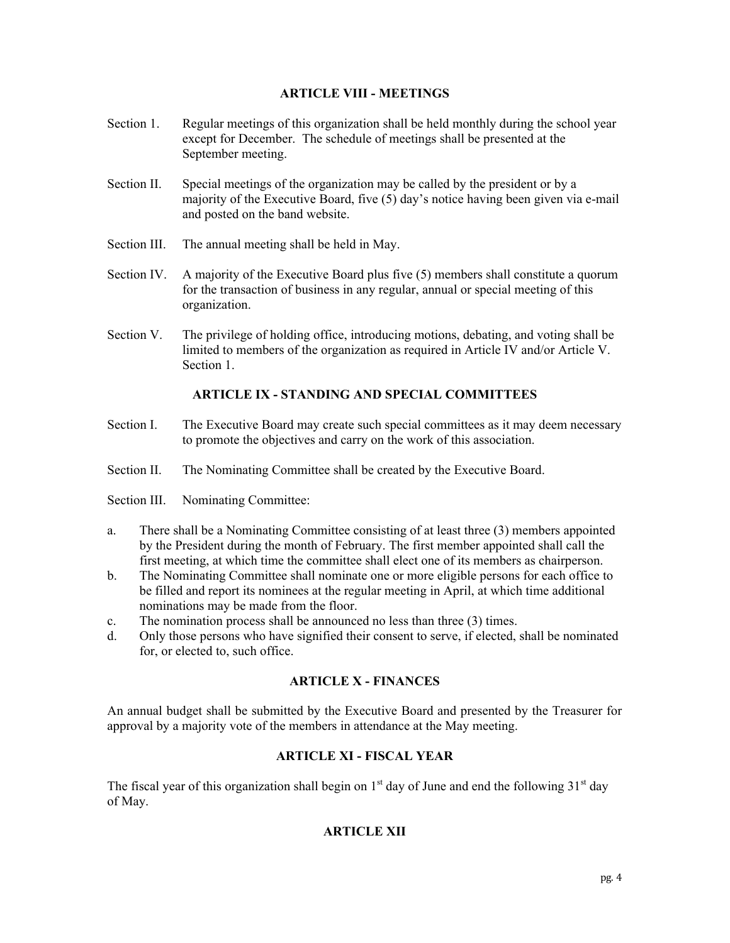# **ARTICLE VIII - MEETINGS**

- Section 1. Regular meetings of this organization shall be held monthly during the school year except for December. The schedule of meetings shall be presented at the September meeting.
- Section II. Special meetings of the organization may be called by the president or by a majority of the Executive Board, five (5) day's notice having been given via e-mail and posted on the band website.
- Section III. The annual meeting shall be held in May.
- Section IV. A majority of the Executive Board plus five (5) members shall constitute a quorum for the transaction of business in any regular, annual or special meeting of this organization.
- Section V. The privilege of holding office, introducing motions, debating, and voting shall be limited to members of the organization as required in Article IV and/or Article V. Section 1.

# **ARTICLE IX - STANDING AND SPECIAL COMMITTEES**

- Section I. The Executive Board may create such special committees as it may deem necessary to promote the objectives and carry on the work of this association.
- Section II. The Nominating Committee shall be created by the Executive Board.
- Section III. Nominating Committee:
- a. There shall be a Nominating Committee consisting of at least three (3) members appointed by the President during the month of February. The first member appointed shall call the first meeting, at which time the committee shall elect one of its members as chairperson.
- b. The Nominating Committee shall nominate one or more eligible persons for each office to be filled and report its nominees at the regular meeting in April, at which time additional nominations may be made from the floor.
- c. The nomination process shall be announced no less than three (3) times.
- d. Only those persons who have signified their consent to serve, if elected, shall be nominated for, or elected to, such office.

### **ARTICLE X - FINANCES**

An annual budget shall be submitted by the Executive Board and presented by the Treasurer for approval by a majority vote of the members in attendance at the May meeting.

# **ARTICLE XI - FISCAL YEAR**

The fiscal year of this organization shall begin on  $1<sup>st</sup>$  day of June and end the following  $31<sup>st</sup>$  day of May.

# **ARTICLE XII**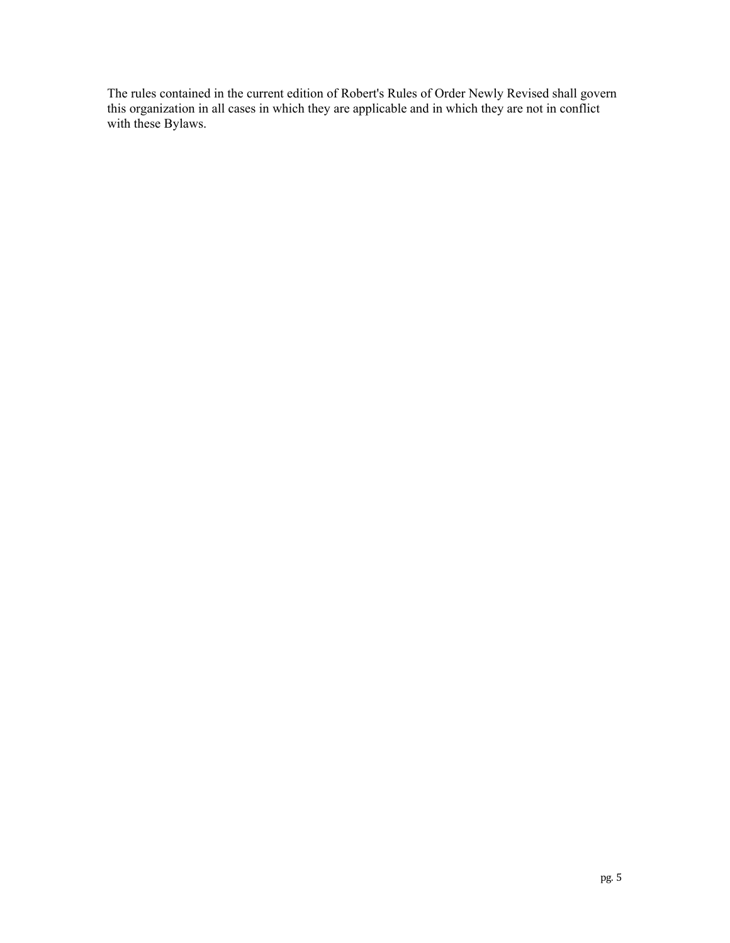The rules contained in the current edition of Robert's Rules of Order Newly Revised shall govern this organization in all cases in which they are applicable and in which they are not in conflict with these Bylaws.